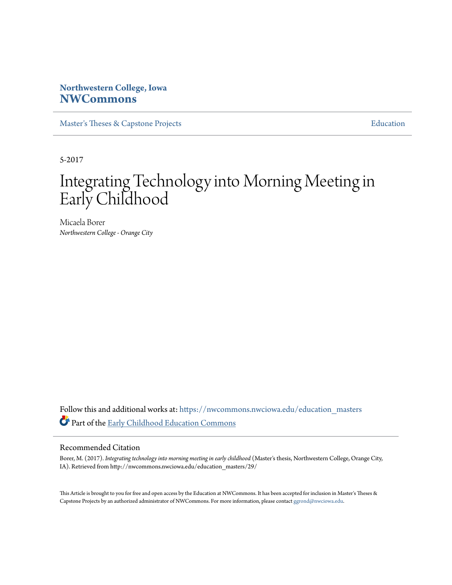### **Northwestern College, Iowa [NWCommons](https://nwcommons.nwciowa.edu?utm_source=nwcommons.nwciowa.edu%2Feducation_masters%2F29&utm_medium=PDF&utm_campaign=PDFCoverPages)**

[Master's Theses & Capstone Projects](https://nwcommons.nwciowa.edu/education_masters?utm_source=nwcommons.nwciowa.edu%2Feducation_masters%2F29&utm_medium=PDF&utm_campaign=PDFCoverPages) **[Education](https://nwcommons.nwciowa.edu/education?utm_source=nwcommons.nwciowa.edu%2Feducation_masters%2F29&utm_medium=PDF&utm_campaign=PDFCoverPages)** 

5-2017

# Integrating Technology into Morning Meeting in Early Childhood

Micaela Borer *Northwestern College - Orange City*

Follow this and additional works at: [https://nwcommons.nwciowa.edu/education\\_masters](https://nwcommons.nwciowa.edu/education_masters?utm_source=nwcommons.nwciowa.edu%2Feducation_masters%2F29&utm_medium=PDF&utm_campaign=PDFCoverPages) Part of the [Early Childhood Education Commons](http://network.bepress.com/hgg/discipline/1377?utm_source=nwcommons.nwciowa.edu%2Feducation_masters%2F29&utm_medium=PDF&utm_campaign=PDFCoverPages)

#### Recommended Citation

Borer, M. (2017). *Integrating technology into morning meeting in early childhood* (Master's thesis, Northwestern College, Orange City, IA). Retrieved from http://nwcommons.nwciowa.edu/education\_masters/29/

This Article is brought to you for free and open access by the Education at NWCommons. It has been accepted for inclusion in Master's Theses & Capstone Projects by an authorized administrator of NWCommons. For more information, please contact [ggrond@nwciowa.edu.](mailto:ggrond@nwciowa.edu)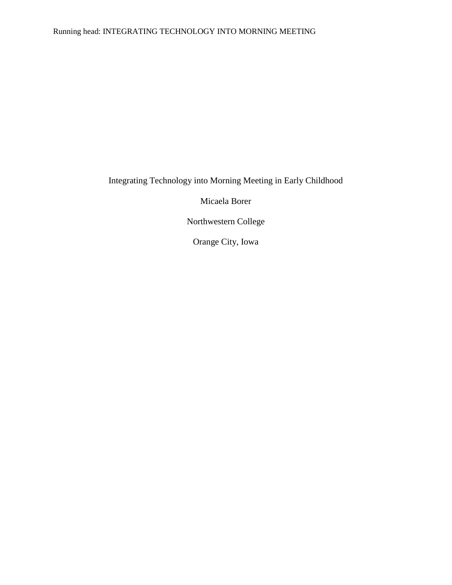## Integrating Technology into Morning Meeting in Early Childhood

Micaela Borer

Northwestern College

Orange City, Iowa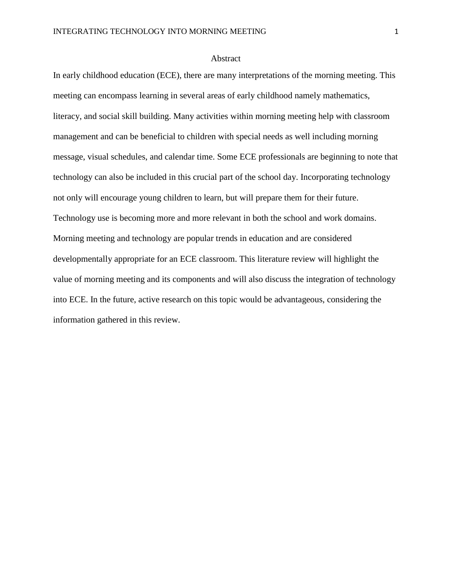### Abstract

In early childhood education (ECE), there are many interpretations of the morning meeting. This meeting can encompass learning in several areas of early childhood namely mathematics, literacy, and social skill building. Many activities within morning meeting help with classroom management and can be beneficial to children with special needs as well including morning message, visual schedules, and calendar time. Some ECE professionals are beginning to note that technology can also be included in this crucial part of the school day. Incorporating technology not only will encourage young children to learn, but will prepare them for their future. Technology use is becoming more and more relevant in both the school and work domains. Morning meeting and technology are popular trends in education and are considered developmentally appropriate for an ECE classroom. This literature review will highlight the value of morning meeting and its components and will also discuss the integration of technology into ECE. In the future, active research on this topic would be advantageous, considering the information gathered in this review.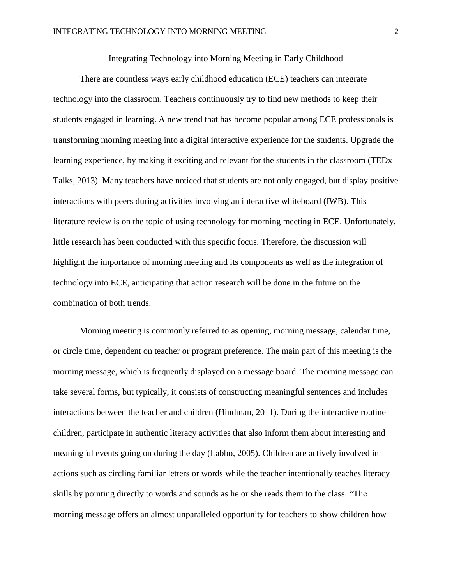Integrating Technology into Morning Meeting in Early Childhood

There are countless ways early childhood education (ECE) teachers can integrate technology into the classroom. Teachers continuously try to find new methods to keep their students engaged in learning. A new trend that has become popular among ECE professionals is transforming morning meeting into a digital interactive experience for the students. Upgrade the learning experience, by making it exciting and relevant for the students in the classroom (TEDx Talks, 2013). Many teachers have noticed that students are not only engaged, but display positive interactions with peers during activities involving an interactive whiteboard (IWB). This literature review is on the topic of using technology for morning meeting in ECE. Unfortunately, little research has been conducted with this specific focus. Therefore, the discussion will highlight the importance of morning meeting and its components as well as the integration of technology into ECE, anticipating that action research will be done in the future on the combination of both trends.

Morning meeting is commonly referred to as opening, morning message, calendar time, or circle time, dependent on teacher or program preference. The main part of this meeting is the morning message, which is frequently displayed on a message board. The morning message can take several forms, but typically, it consists of constructing meaningful sentences and includes interactions between the teacher and children (Hindman, 2011). During the interactive routine children, participate in authentic literacy activities that also inform them about interesting and meaningful events going on during the day (Labbo, 2005). Children are actively involved in actions such as circling familiar letters or words while the teacher intentionally teaches literacy skills by pointing directly to words and sounds as he or she reads them to the class. "The morning message offers an almost unparalleled opportunity for teachers to show children how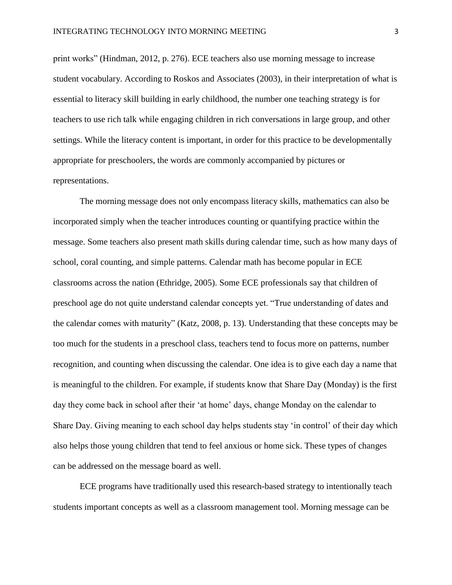print works" (Hindman, 2012, p. 276). ECE teachers also use morning message to increase student vocabulary. According to Roskos and Associates (2003), in their interpretation of what is essential to literacy skill building in early childhood, the number one teaching strategy is for teachers to use rich talk while engaging children in rich conversations in large group, and other settings. While the literacy content is important, in order for this practice to be developmentally appropriate for preschoolers, the words are commonly accompanied by pictures or representations.

The morning message does not only encompass literacy skills, mathematics can also be incorporated simply when the teacher introduces counting or quantifying practice within the message. Some teachers also present math skills during calendar time, such as how many days of school, coral counting, and simple patterns. Calendar math has become popular in ECE classrooms across the nation (Ethridge, 2005). Some ECE professionals say that children of preschool age do not quite understand calendar concepts yet. "True understanding of dates and the calendar comes with maturity" (Katz, 2008, p. 13). Understanding that these concepts may be too much for the students in a preschool class, teachers tend to focus more on patterns, number recognition, and counting when discussing the calendar. One idea is to give each day a name that is meaningful to the children. For example, if students know that Share Day (Monday) is the first day they come back in school after their 'at home' days, change Monday on the calendar to Share Day. Giving meaning to each school day helps students stay 'in control' of their day which also helps those young children that tend to feel anxious or home sick. These types of changes can be addressed on the message board as well.

ECE programs have traditionally used this research-based strategy to intentionally teach students important concepts as well as a classroom management tool. Morning message can be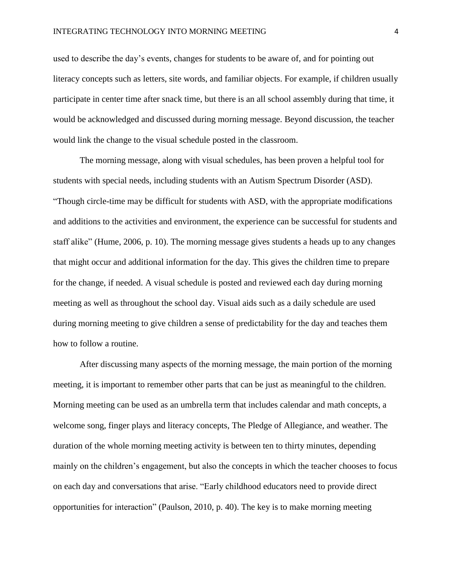used to describe the day's events, changes for students to be aware of, and for pointing out literacy concepts such as letters, site words, and familiar objects. For example, if children usually participate in center time after snack time, but there is an all school assembly during that time, it would be acknowledged and discussed during morning message. Beyond discussion, the teacher would link the change to the visual schedule posted in the classroom.

The morning message, along with visual schedules, has been proven a helpful tool for students with special needs, including students with an Autism Spectrum Disorder (ASD). "Though circle-time may be difficult for students with ASD, with the appropriate modifications and additions to the activities and environment, the experience can be successful for students and staff alike" (Hume, 2006, p. 10). The morning message gives students a heads up to any changes that might occur and additional information for the day. This gives the children time to prepare for the change, if needed. A visual schedule is posted and reviewed each day during morning meeting as well as throughout the school day. Visual aids such as a daily schedule are used during morning meeting to give children a sense of predictability for the day and teaches them how to follow a routine.

After discussing many aspects of the morning message, the main portion of the morning meeting, it is important to remember other parts that can be just as meaningful to the children. Morning meeting can be used as an umbrella term that includes calendar and math concepts, a welcome song, finger plays and literacy concepts, The Pledge of Allegiance, and weather. The duration of the whole morning meeting activity is between ten to thirty minutes, depending mainly on the children's engagement, but also the concepts in which the teacher chooses to focus on each day and conversations that arise. "Early childhood educators need to provide direct opportunities for interaction" (Paulson, 2010, p. 40). The key is to make morning meeting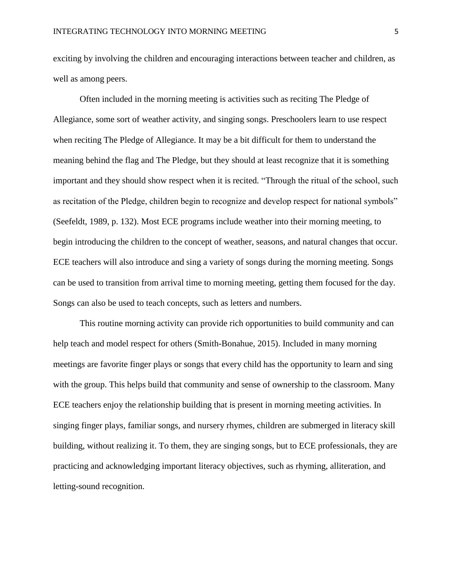exciting by involving the children and encouraging interactions between teacher and children, as well as among peers.

Often included in the morning meeting is activities such as reciting The Pledge of Allegiance, some sort of weather activity, and singing songs. Preschoolers learn to use respect when reciting The Pledge of Allegiance. It may be a bit difficult for them to understand the meaning behind the flag and The Pledge, but they should at least recognize that it is something important and they should show respect when it is recited. "Through the ritual of the school, such as recitation of the Pledge, children begin to recognize and develop respect for national symbols" (Seefeldt, 1989, p. 132). Most ECE programs include weather into their morning meeting, to begin introducing the children to the concept of weather, seasons, and natural changes that occur. ECE teachers will also introduce and sing a variety of songs during the morning meeting. Songs can be used to transition from arrival time to morning meeting, getting them focused for the day. Songs can also be used to teach concepts, such as letters and numbers.

This routine morning activity can provide rich opportunities to build community and can help teach and model respect for others (Smith-Bonahue, 2015). Included in many morning meetings are favorite finger plays or songs that every child has the opportunity to learn and sing with the group. This helps build that community and sense of ownership to the classroom. Many ECE teachers enjoy the relationship building that is present in morning meeting activities. In singing finger plays, familiar songs, and nursery rhymes, children are submerged in literacy skill building, without realizing it. To them, they are singing songs, but to ECE professionals, they are practicing and acknowledging important literacy objectives, such as rhyming, alliteration, and letting-sound recognition.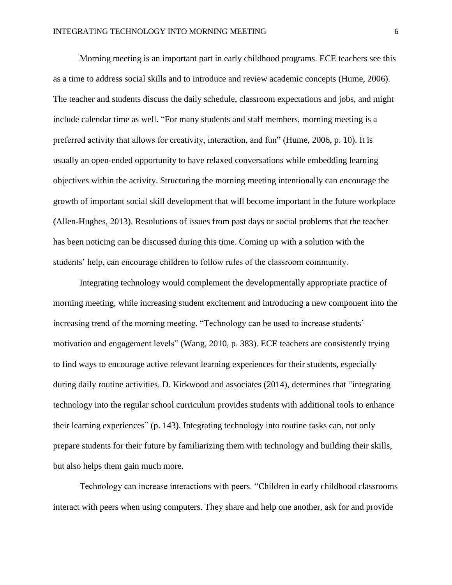Morning meeting is an important part in early childhood programs. ECE teachers see this as a time to address social skills and to introduce and review academic concepts (Hume, 2006). The teacher and students discuss the daily schedule, classroom expectations and jobs, and might include calendar time as well. "For many students and staff members, morning meeting is a preferred activity that allows for creativity, interaction, and fun" (Hume, 2006, p. 10). It is usually an open-ended opportunity to have relaxed conversations while embedding learning objectives within the activity. Structuring the morning meeting intentionally can encourage the growth of important social skill development that will become important in the future workplace (Allen-Hughes, 2013). Resolutions of issues from past days or social problems that the teacher has been noticing can be discussed during this time. Coming up with a solution with the students' help, can encourage children to follow rules of the classroom community.

Integrating technology would complement the developmentally appropriate practice of morning meeting, while increasing student excitement and introducing a new component into the increasing trend of the morning meeting. "Technology can be used to increase students' motivation and engagement levels" (Wang, 2010, p. 383). ECE teachers are consistently trying to find ways to encourage active relevant learning experiences for their students, especially during daily routine activities. D. Kirkwood and associates (2014), determines that "integrating technology into the regular school curriculum provides students with additional tools to enhance their learning experiences" (p. 143). Integrating technology into routine tasks can, not only prepare students for their future by familiarizing them with technology and building their skills, but also helps them gain much more.

Technology can increase interactions with peers. "Children in early childhood classrooms interact with peers when using computers. They share and help one another, ask for and provide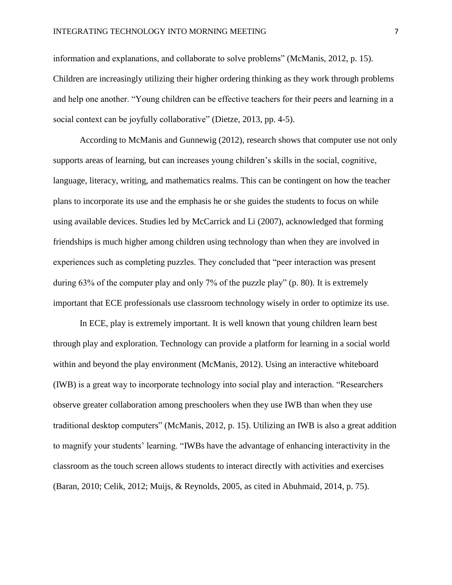information and explanations, and collaborate to solve problems" (McManis, 2012, p. 15). Children are increasingly utilizing their higher ordering thinking as they work through problems and help one another. "Young children can be effective teachers for their peers and learning in a social context can be joyfully collaborative" (Dietze, 2013, pp. 4-5).

According to McManis and Gunnewig (2012), research shows that computer use not only supports areas of learning, but can increases young children's skills in the social, cognitive, language, literacy, writing, and mathematics realms. This can be contingent on how the teacher plans to incorporate its use and the emphasis he or she guides the students to focus on while using available devices. Studies led by McCarrick and Li (2007), acknowledged that forming friendships is much higher among children using technology than when they are involved in experiences such as completing puzzles. They concluded that "peer interaction was present during 63% of the computer play and only 7% of the puzzle play" (p. 80). It is extremely important that ECE professionals use classroom technology wisely in order to optimize its use.

In ECE, play is extremely important. It is well known that young children learn best through play and exploration. Technology can provide a platform for learning in a social world within and beyond the play environment (McManis, 2012). Using an interactive whiteboard (IWB) is a great way to incorporate technology into social play and interaction. "Researchers observe greater collaboration among preschoolers when they use IWB than when they use traditional desktop computers" (McManis, 2012, p. 15). Utilizing an IWB is also a great addition to magnify your students' learning. "IWBs have the advantage of enhancing interactivity in the classroom as the touch screen allows students to interact directly with activities and exercises (Baran, 2010; Celik, 2012; Muijs, & Reynolds, 2005, as cited in Abuhmaid, 2014, p. 75).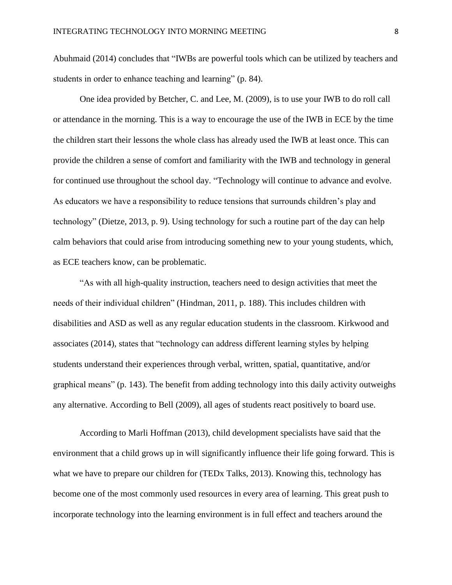Abuhmaid (2014) concludes that "IWBs are powerful tools which can be utilized by teachers and students in order to enhance teaching and learning" (p. 84).

One idea provided by Betcher, C. and Lee, M. (2009), is to use your IWB to do roll call or attendance in the morning. This is a way to encourage the use of the IWB in ECE by the time the children start their lessons the whole class has already used the IWB at least once. This can provide the children a sense of comfort and familiarity with the IWB and technology in general for continued use throughout the school day. "Technology will continue to advance and evolve. As educators we have a responsibility to reduce tensions that surrounds children's play and technology" (Dietze, 2013, p. 9). Using technology for such a routine part of the day can help calm behaviors that could arise from introducing something new to your young students, which, as ECE teachers know, can be problematic.

"As with all high-quality instruction, teachers need to design activities that meet the needs of their individual children" (Hindman, 2011, p. 188). This includes children with disabilities and ASD as well as any regular education students in the classroom. Kirkwood and associates (2014), states that "technology can address different learning styles by helping students understand their experiences through verbal, written, spatial, quantitative, and/or graphical means" (p. 143). The benefit from adding technology into this daily activity outweighs any alternative. According to Bell (2009), all ages of students react positively to board use.

According to Marli Hoffman (2013), child development specialists have said that the environment that a child grows up in will significantly influence their life going forward. This is what we have to prepare our children for (TED<sub>x</sub> Talks, 2013). Knowing this, technology has become one of the most commonly used resources in every area of learning. This great push to incorporate technology into the learning environment is in full effect and teachers around the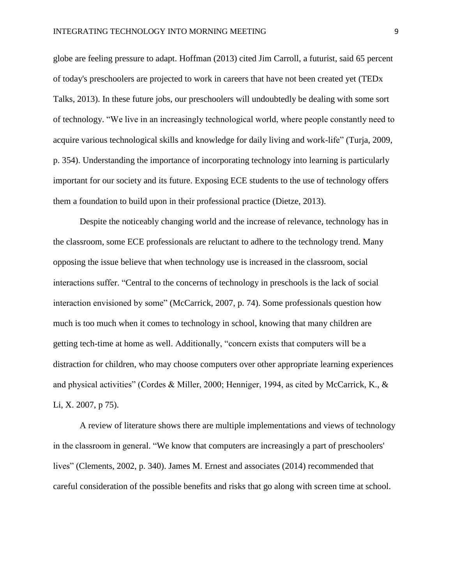globe are feeling pressure to adapt. Hoffman (2013) cited Jim Carroll, a futurist, said 65 percent of today's preschoolers are projected to work in careers that have not been created yet (TEDx Talks, 2013). In these future jobs, our preschoolers will undoubtedly be dealing with some sort of technology. "We live in an increasingly technological world, where people constantly need to acquire various technological skills and knowledge for daily living and work-life" (Turja, 2009, p. 354). Understanding the importance of incorporating technology into learning is particularly important for our society and its future. Exposing ECE students to the use of technology offers them a foundation to build upon in their professional practice (Dietze, 2013).

Despite the noticeably changing world and the increase of relevance, technology has in the classroom, some ECE professionals are reluctant to adhere to the technology trend. Many opposing the issue believe that when technology use is increased in the classroom, social interactions suffer. "Central to the concerns of technology in preschools is the lack of social interaction envisioned by some" (McCarrick, 2007, p. 74). Some professionals question how much is too much when it comes to technology in school, knowing that many children are getting tech-time at home as well. Additionally, "concern exists that computers will be a distraction for children, who may choose computers over other appropriate learning experiences and physical activities" (Cordes & Miller, 2000; Henniger, 1994, as cited by McCarrick, K., & Li, X. 2007, p 75).

A review of literature shows there are multiple implementations and views of technology in the classroom in general. "We know that computers are increasingly a part of preschoolers' lives" (Clements, 2002, p. 340). James M. Ernest and associates (2014) recommended that careful consideration of the possible benefits and risks that go along with screen time at school.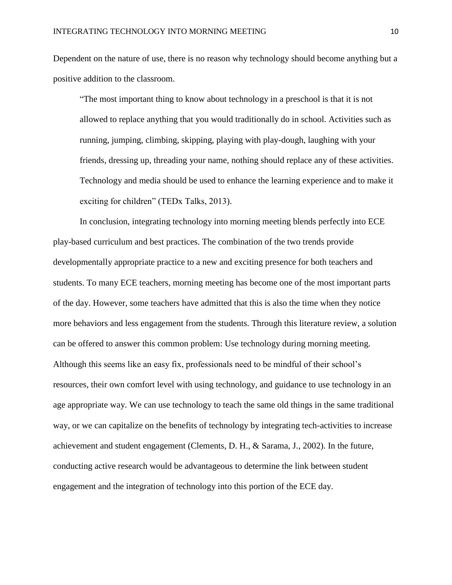Dependent on the nature of use, there is no reason why technology should become anything but a positive addition to the classroom.

"The most important thing to know about technology in a preschool is that it is not allowed to replace anything that you would traditionally do in school. Activities such as running, jumping, climbing, skipping, playing with play-dough, laughing with your friends, dressing up, threading your name, nothing should replace any of these activities. Technology and media should be used to enhance the learning experience and to make it exciting for children" (TEDx Talks, 2013).

In conclusion, integrating technology into morning meeting blends perfectly into ECE play-based curriculum and best practices. The combination of the two trends provide developmentally appropriate practice to a new and exciting presence for both teachers and students. To many ECE teachers, morning meeting has become one of the most important parts of the day. However, some teachers have admitted that this is also the time when they notice more behaviors and less engagement from the students. Through this literature review, a solution can be offered to answer this common problem: Use technology during morning meeting. Although this seems like an easy fix, professionals need to be mindful of their school's resources, their own comfort level with using technology, and guidance to use technology in an age appropriate way. We can use technology to teach the same old things in the same traditional way, or we can capitalize on the benefits of technology by integrating tech-activities to increase achievement and student engagement (Clements, D. H., & Sarama, J., 2002). In the future, conducting active research would be advantageous to determine the link between student engagement and the integration of technology into this portion of the ECE day.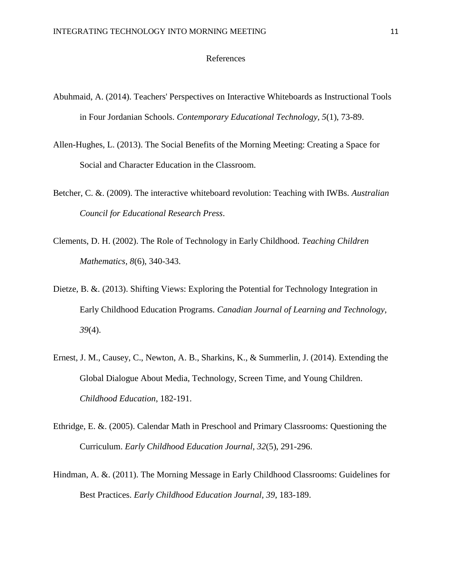### References

- Abuhmaid, A. (2014). Teachers' Perspectives on Interactive Whiteboards as Instructional Tools in Four Jordanian Schools. *Contemporary Educational Technology, 5*(1), 73-89.
- Allen-Hughes, L. (2013). The Social Benefits of the Morning Meeting: Creating a Space for Social and Character Education in the Classroom.
- Betcher, C. &. (2009). The interactive whiteboard revolution: Teaching with IWBs. *Australian Council for Educational Research Press*.
- Clements, D. H. (2002). The Role of Technology in Early Childhood. *Teaching Children Mathematics, 8*(6), 340-343.
- Dietze, B. &. (2013). Shifting Views: Exploring the Potential for Technology Integration in Early Childhood Education Programs. *Canadian Journal of Learning and Technology, 39*(4).
- Ernest, J. M., Causey, C., Newton, A. B., Sharkins, K., & Summerlin, J. (2014). Extending the Global Dialogue About Media, Technology, Screen Time, and Young Children. *Childhood Education*, 182-191.
- Ethridge, E. &. (2005). Calendar Math in Preschool and Primary Classrooms: Questioning the Curriculum. *Early Childhood Education Journal, 32*(5), 291-296.
- Hindman, A. &. (2011). The Morning Message in Early Childhood Classrooms: Guidelines for Best Practices. *Early Childhood Education Journal, 39*, 183-189.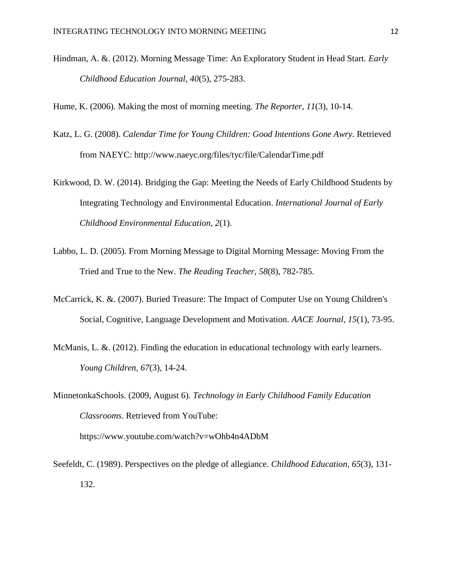Hindman, A. &. (2012). Morning Message Time: An Exploratory Student in Head Start. *Early Childhood Education Journal, 40*(5), 275-283.

Hume, K. (2006). Making the most of morning meeting. *The Reporter, 11*(3), 10-14.

- Katz, L. G. (2008). *Calendar Time for Young Children: Good Intentions Gone Awry.* Retrieved from NAEYC: http://www.naeyc.org/files/tyc/file/CalendarTime.pdf
- Kirkwood, D. W. (2014). Bridging the Gap: Meeting the Needs of Early Childhood Students by Integrating Technology and Environmental Education. *International Journal of Early Childhood Environmental Education, 2*(1).
- Labbo, L. D. (2005). From Morning Message to Digital Morning Message: Moving From the Tried and True to the New. *The Reading Teacher, 58*(8), 782-785.
- McCarrick, K. &. (2007). Buried Treasure: The Impact of Computer Use on Young Children's Social, Cognitive, Language Development and Motivation. *AACE Journal, 15*(1), 73-95.
- McManis, L. &. (2012). Finding the education in educational technology with early learners. *Young Children, 67*(3), 14-24.

MinnetonkaSchools. (2009, August 6). *Technology in Early Childhood Family Education Classrooms*. Retrieved from YouTube: https://www.youtube.com/watch?v=wOhb4n4ADbM

Seefeldt, C. (1989). Perspectives on the pledge of allegiance. *Childhood Education, 65*(3), 131- 132.